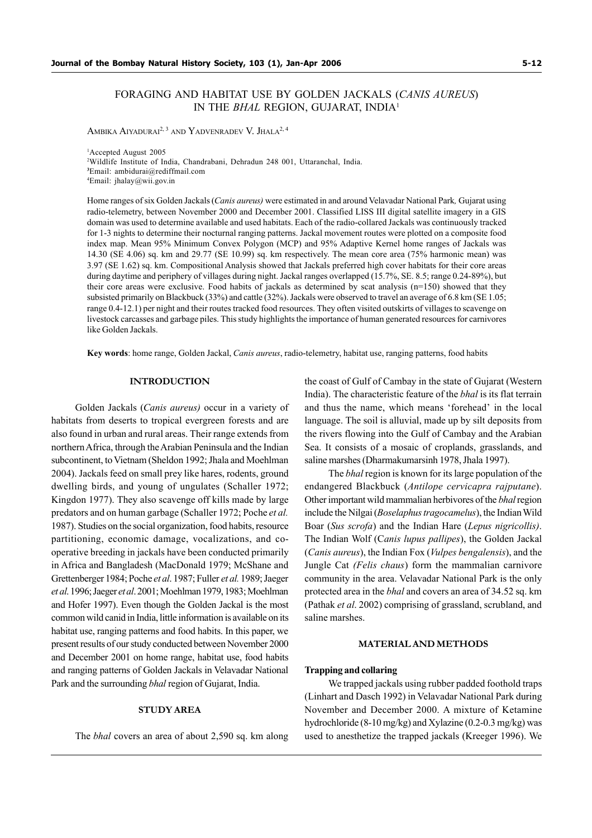# FORAGING AND HABITAT USE BY GOLDEN JACKALS (CANIS AUREUS) IN THE BHAL REGION, GUJARAT, INDIA<sup>1</sup>

AMBIKA AIYADURAI<sup>2, 3</sup> AND YADVENRADEV V. JHALA<sup>2, 4</sup>

Accepted August 2005 Wildlife Institute of India, Chandrabani, Dehradun 248 001, Uttaranchal, India. Email: ambidurai@rediffmail.com Email: jhalay@wii.gov.in

Home ranges of six Golden Jackals (Canis aureus) were estimated in and around Velavadar National Park, Gujarat using radio-telemetry, between November 2000 and December 2001. Classified LISS III digital satellite imagery in a GIS domain was used to determine available and used habitats. Each of the radio-collared Jackals was continuously tracked for 1-3 nights to determine their nocturnal ranging patterns. Jackal movement routes were plotted on a composite food index map. Mean 95% Minimum Convex Polygon (MCP) and 95% Adaptive Kernel home ranges of Jackals was 14.30 (SE 4.06) sq. km and 29.77 (SE 10.99) sq. km respectively. The mean core area (75% harmonic mean) was 3.97 (SE 1.62) sq. km. Compositional Analysis showed that Jackals preferred high cover habitats for their core areas during daytime and periphery of villages during night. Jackal ranges overlapped (15.7%, SE. 8.5; range 0.24-89%), but their core areas were exclusive. Food habits of jackals as determined by scat analysis (n=150) showed that they subsisted primarily on Blackbuck (33%) and cattle (32%). Jackals were observed to travel an average of 6.8 km (SE 1.05; range 0.4-12.1) per night and their routes tracked food resources. They often visited outskirts of villages to scavenge on livestock carcasses and garbage piles. This study highlights the importance of human generated resources for carnivores like Golden Jackals.

Key words: home range, Golden Jackal, Canis aureus, radio-telemetry, habitat use, ranging patterns, food habits

### INTRODUCTION

Golden Jackals (Canis aureus) occur in a variety of habitats from deserts to tropical evergreen forests and are also found in urban and rural areas. Their range extends from northern Africa, through the Arabian Peninsula and the Indian subcontinent, to Vietnam (Sheldon 1992; Jhala and Moehlman 2004). Jackals feed on small prey like hares, rodents, ground dwelling birds, and young of ungulates (Schaller 1972; Kingdon 1977). They also scavenge off kills made by large predators and on human garbage (Schaller 1972; Poche et al. 1987). Studies on the social organization, food habits, resource partitioning, economic damage, vocalizations, and cooperative breeding in jackals have been conducted primarily in Africa and Bangladesh (MacDonald 1979; McShane and Grettenberger 1984; Poche et al. 1987; Fuller et al. 1989; Jaeger et al. 1996; Jaeger et al. 2001; Moehlman 1979, 1983; Moehlman and Hofer 1997). Even though the Golden Jackal is the most common wild canid in India, little information is available on its habitat use, ranging patterns and food habits. In this paper, we present results of our study conducted between November 2000 and December 2001 on home range, habitat use, food habits and ranging patterns of Golden Jackals in Velavadar National Park and the surrounding bhal region of Gujarat, India.

## STUDY AREA

The bhal covers an area of about 2,590 sq. km along

the coast of Gulf of Cambay in the state of Gujarat (Western India). The characteristic feature of the bhal is its flat terrain and thus the name, which means 'forehead' in the local language. The soil is alluvial, made up by silt deposits from the rivers flowing into the Gulf of Cambay and the Arabian Sea. It consists of a mosaic of croplands, grasslands, and saline marshes (Dharmakumarsinh 1978, Jhala 1997).

The bhal region is known for its large population of the endangered Blackbuck (Antilope cervicapra rajputane). Other important wild mammalian herbivores of the bhal region include the Nilgai (Boselaphus tragocamelus), the Indian Wild Boar (Sus scrofa) and the Indian Hare (Lepus nigricollis). The Indian Wolf (Canis lupus pallipes), the Golden Jackal (Canis aureus), the Indian Fox (Vulpes bengalensis), and the Jungle Cat (Felis chaus) form the mammalian carnivore community in the area. Velavadar National Park is the only protected area in the bhal and covers an area of 34.52 sq. km (Pathak et al. 2002) comprising of grassland, scrubland, and saline marshes.

#### MATERIAL AND METHODS

#### Trapping and collaring

We trapped jackals using rubber padded foothold traps (Linhart and Dasch 1992) in Velavadar National Park during November and December 2000. A mixture of Ketamine hydrochloride (8-10 mg/kg) and Xylazine (0.2-0.3 mg/kg) was used to anesthetize the trapped jackals (Kreeger 1996). We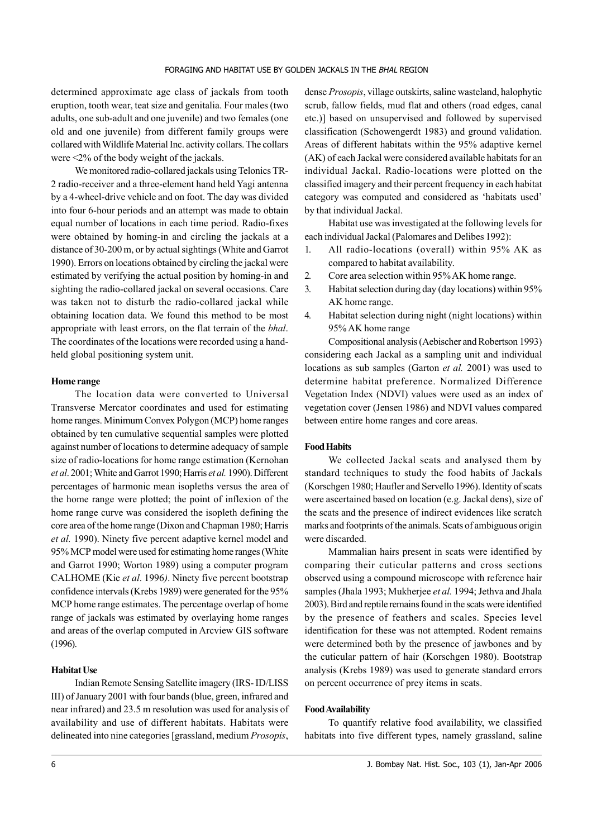determined approximate age class of jackals from tooth eruption, tooth wear, teat size and genitalia. Four males (two adults, one sub-adult and one juvenile) and two females (one old and one juvenile) from different family groups were collared with Wildlife Material Inc. activity collars. The collars were <2% of the body weight of the jackals.

We monitored radio-collared jackals using Telonics TR-2 radio-receiver and a three-element hand held Yagi antenna by a 4-wheel-drive vehicle and on foot. The day was divided into four 6-hour periods and an attempt was made to obtain equal number of locations in each time period. Radio-fixes were obtained by homing-in and circling the jackals at a distance of 30-200 m, or by actual sightings (White and Garrot 1990). Errors on locations obtained by circling the jackal were estimated by verifying the actual position by homing-in and sighting the radio-collared jackal on several occasions. Care was taken not to disturb the radio-collared jackal while obtaining location data. We found this method to be most appropriate with least errors, on the flat terrain of the bhal. The coordinates of the locations were recorded using a handheld global positioning system unit.

# Home range

The location data were converted to Universal Transverse Mercator coordinates and used for estimating home ranges. Minimum Convex Polygon (MCP) home ranges obtained by ten cumulative sequential samples were plotted against number of locations to determine adequacy of sample size of radio-locations for home range estimation (Kernohan et al. 2001; White and Garrot 1990; Harris et al. 1990). Different percentages of harmonic mean isopleths versus the area of the home range were plotted; the point of inflexion of the home range curve was considered the isopleth defining the core area of the home range (Dixon and Chapman 1980; Harris et al. 1990). Ninety five percent adaptive kernel model and 95% MCP model were used for estimating home ranges (White and Garrot 1990; Worton 1989) using a computer program CALHOME (Kie et al. 1996). Ninety five percent bootstrap confidence intervals (Krebs 1989) were generated for the 95% MCP home range estimates. The percentage overlap of home range of jackals was estimated by overlaying home ranges and areas of the overlap computed in Arcview GIS software (1996).

#### Habitat Use

Indian Remote Sensing Satellite imagery (IRS- ID/LISS III) of January 2001 with four bands (blue, green, infrared and near infrared) and 23.5 m resolution was used for analysis of availability and use of different habitats. Habitats were delineated into nine categories [grassland, medium Prosopis, dense Prosopis, village outskirts, saline wasteland, halophytic scrub, fallow fields, mud flat and others (road edges, canal etc.)] based on unsupervised and followed by supervised classification (Schowengerdt 1983) and ground validation. Areas of different habitats within the 95% adaptive kernel (AK) of each Jackal were considered available habitats for an individual Jackal. Radio-locations were plotted on the classified imagery and their percent frequency in each habitat category was computed and considered as 'habitats used' by that individual Jackal.

Habitat use was investigated at the following levels for each individual Jackal (Palomares and Delibes 1992):

- 1. All radio-locations (overall) within 95% AK as compared to habitat availability.
- 2. Core area selection within 95% AK home range.
- 3. Habitat selection during day (day locations) within 95% AK home range.
- 4. Habitat selection during night (night locations) within 95% AK home range

Compositional analysis (Aebischer and Robertson 1993) considering each Jackal as a sampling unit and individual locations as sub samples (Garton *et al.* 2001) was used to determine habitat preference. Normalized Difference Vegetation Index (NDVI) values were used as an index of vegetation cover (Jensen 1986) and NDVI values compared between entire home ranges and core areas.

### Food Habits

We collected Jackal scats and analysed them by standard techniques to study the food habits of Jackals (Korschgen 1980; Haufler and Servello 1996). Identity of scats were ascertained based on location (e.g. Jackal dens), size of the scats and the presence of indirect evidences like scratch marks and footprints of the animals. Scats of ambiguous origin were discarded.

Mammalian hairs present in scats were identified by comparing their cuticular patterns and cross sections observed using a compound microscope with reference hair samples (Jhala 1993; Mukherjee et al. 1994; Jethva and Jhala 2003). Bird and reptile remains found in the scats were identified by the presence of feathers and scales. Species level identification for these was not attempted. Rodent remains were determined both by the presence of jawbones and by the cuticular pattern of hair (Korschgen 1980). Bootstrap analysis (Krebs 1989) was used to generate standard errors on percent occurrence of prey items in scats.

## Food Availability

To quantify relative food availability, we classified habitats into five different types, namely grassland, saline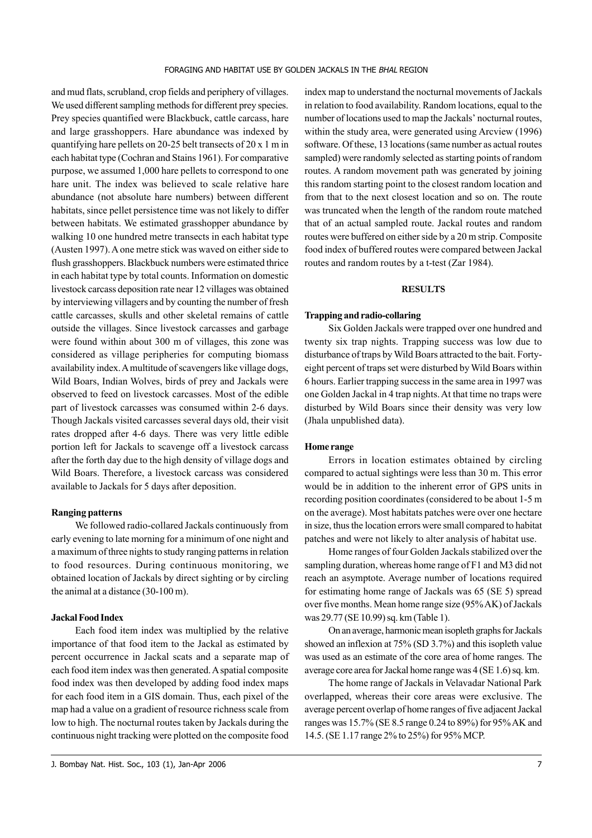and mud flats, scrubland, crop fields and periphery of villages. We used different sampling methods for different prey species. Prey species quantified were Blackbuck, cattle carcass, hare and large grasshoppers. Hare abundance was indexed by quantifying hare pellets on 20-25 belt transects of 20 x 1 m in each habitat type (Cochran and Stains 1961). For comparative purpose, we assumed 1,000 hare pellets to correspond to one hare unit. The index was believed to scale relative hare abundance (not absolute hare numbers) between different habitats, since pellet persistence time was not likely to differ between habitats. We estimated grasshopper abundance by walking 10 one hundred metre transects in each habitat type (Austen 1997). A one metre stick was waved on either side to flush grasshoppers. Blackbuck numbers were estimated thrice in each habitat type by total counts. Information on domestic livestock carcass deposition rate near 12 villages was obtained by interviewing villagers and by counting the number of fresh cattle carcasses, skulls and other skeletal remains of cattle outside the villages. Since livestock carcasses and garbage were found within about 300 m of villages, this zone was considered as village peripheries for computing biomass availability index. A multitude of scavengers like village dogs, Wild Boars, Indian Wolves, birds of prey and Jackals were observed to feed on livestock carcasses. Most of the edible part of livestock carcasses was consumed within 2-6 days. Though Jackals visited carcasses several days old, their visit rates dropped after 4-6 days. There was very little edible portion left for Jackals to scavenge off a livestock carcass after the forth day due to the high density of village dogs and Wild Boars. Therefore, a livestock carcass was considered available to Jackals for 5 days after deposition.

#### Ranging patterns

We followed radio-collared Jackals continuously from early evening to late morning for a minimum of one night and a maximum of three nights to study ranging patterns in relation to food resources. During continuous monitoring, we obtained location of Jackals by direct sighting or by circling the animal at a distance (30-100 m).

## Jackal Food Index

Each food item index was multiplied by the relative importance of that food item to the Jackal as estimated by percent occurrence in Jackal scats and a separate map of each food item index was then generated. A spatial composite food index was then developed by adding food index maps for each food item in a GIS domain. Thus, each pixel of the map had a value on a gradient of resource richness scale from low to high. The nocturnal routes taken by Jackals during the continuous night tracking were plotted on the composite food index map to understand the nocturnal movements of Jackals in relation to food availability. Random locations, equal to the number of locations used to map the Jackals' nocturnal routes, within the study area, were generated using Arcview (1996) software. Of these, 13 locations (same number as actual routes sampled) were randomly selected as starting points of random routes. A random movement path was generated by joining this random starting point to the closest random location and from that to the next closest location and so on. The route was truncated when the length of the random route matched that of an actual sampled route. Jackal routes and random routes were buffered on either side by a 20 m strip. Composite food index of buffered routes were compared between Jackal routes and random routes by a t-test (Zar 1984).

# **RESULTS**

#### Trapping and radio-collaring

Six Golden Jackals were trapped over one hundred and twenty six trap nights. Trapping success was low due to disturbance of traps by Wild Boars attracted to the bait. Fortyeight percent of traps set were disturbed by Wild Boars within 6 hours. Earlier trapping success in the same area in 1997 was one Golden Jackal in 4 trap nights. At that time no traps were disturbed by Wild Boars since their density was very low (Jhala unpublished data).

### Home range

Errors in location estimates obtained by circling compared to actual sightings were less than 30 m. This error would be in addition to the inherent error of GPS units in recording position coordinates (considered to be about 1-5 m on the average). Most habitats patches were over one hectare in size, thus the location errors were small compared to habitat patches and were not likely to alter analysis of habitat use.

Home ranges of four Golden Jackals stabilized over the sampling duration, whereas home range of F1 and M3 did not reach an asymptote. Average number of locations required for estimating home range of Jackals was 65 (SE 5) spread over five months. Mean home range size (95% AK) of Jackals was 29.77 (SE 10.99) sq. km (Table 1).

On an average, harmonic mean isopleth graphs for Jackals showed an inflexion at 75% (SD 3.7%) and this isopleth value was used as an estimate of the core area of home ranges. The average core area for Jackal home range was 4 (SE 1.6) sq. km.

The home range of Jackals in Velavadar National Park overlapped, whereas their core areas were exclusive. The average percent overlap of home ranges of five adjacent Jackal ranges was 15.7% (SE 8.5 range 0.24 to 89%) for 95% AK and 14.5. (SE 1.17 range 2% to 25%) for 95% MCP.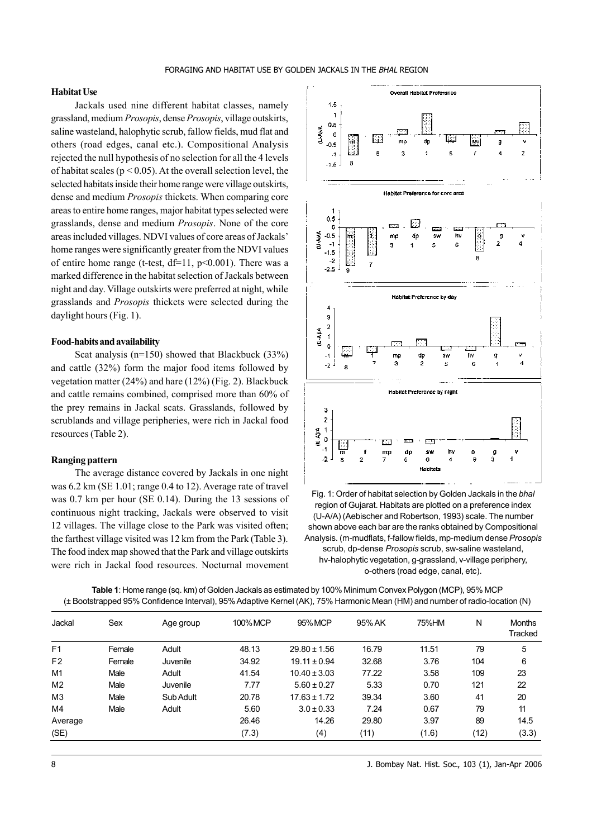### Habitat Use

Jackals used nine different habitat classes, namely grassland, medium Prosopis, dense Prosopis, village outskirts, saline wasteland, halophytic scrub, fallow fields, mud flat and others (road edges, canal etc.). Compositional Analysis rejected the null hypothesis of no selection for all the 4 levels of habitat scales ( $p \le 0.05$ ). At the overall selection level, the selected habitats inside their home range were village outskirts, dense and medium Prosopis thickets. When comparing core areas to entire home ranges, major habitat types selected were grasslands, dense and medium Prosopis. None of the core areas included villages. NDVI values of core areas of Jackals' home ranges were significantly greater from the NDVI values of entire home range (t-test,  $df=11$ ,  $p<0.001$ ). There was a marked difference in the habitat selection of Jackals between night and day. Village outskirts were preferred at night, while grasslands and Prosopis thickets were selected during the daylight hours (Fig. 1).

#### Food-habits and availability

Scat analysis (n=150) showed that Blackbuck (33%) and cattle (32%) form the major food items followed by vegetation matter (24%) and hare (12%) (Fig. 2). Blackbuck and cattle remains combined, comprised more than 60% of the prey remains in Jackal scats. Grasslands, followed by scrublands and village peripheries, were rich in Jackal food resources (Table 2).

## Ranging pattern

The average distance covered by Jackals in one night was 6.2 km (SE 1.01; range 0.4 to 12). Average rate of travel was 0.7 km per hour (SE 0.14). During the 13 sessions of continuous night tracking, Jackals were observed to visit 12 villages. The village close to the Park was visited often; the farthest village visited was 12 km from the Park (Table 3). The food index map showed that the Park and village outskirts were rich in Jackal food resources. Nocturnal movement



Fig. 1: Order of habitat selection by Golden Jackals in the bhal region of Gujarat. Habitats are plotted on a preference index (U-A/A) (Aebischer and Robertson, 1993) scale. The number shown above each bar are the ranks obtained by Compositional Analysis. (m-mudflats, f-fallow fields, mp-medium dense Prosopis scrub, dp-dense Prosopis scrub, sw-saline wasteland, hv-halophytic vegetation, g-grassland, v-village periphery, o-others (road edge, canal, etc).

Table 1: Home range (sq. km) of Golden Jackals as estimated by 100% Minimum Convex Polygon (MCP), 95% MCP (± Bootstrapped 95% Confidence Interval), 95% Adaptive Kernel (AK), 75% Harmonic Mean (HM) and number of radio-location (N)

| Jackal         | Sex    | Age group | 100% MCP | 95% MCP          | 95% AK | 75%HM | N    | <b>Months</b><br>Tracked |
|----------------|--------|-----------|----------|------------------|--------|-------|------|--------------------------|
| F <sub>1</sub> | Female | Adult     | 48.13    | $29.80 \pm 1.56$ | 16.79  | 11.51 | 79   | 5                        |
| F <sub>2</sub> | Female | Juvenile  | 34.92    | $19.11 \pm 0.94$ | 32.68  | 3.76  | 104  | 6                        |
| M1             | Male   | Adult     | 41.54    | $10.40 \pm 3.03$ | 77.22  | 3.58  | 109  | 23                       |
| M <sub>2</sub> | Male   | Juvenile  | 7.77     | $5.60 \pm 0.27$  | 5.33   | 0.70  | 121  | 22                       |
| M <sub>3</sub> | Male   | Sub Adult | 20.78    | $17.63 \pm 1.72$ | 39.34  | 3.60  | 41   | 20                       |
| M4             | Male   | Adult     | 5.60     | $3.0 \pm 0.33$   | 7.24   | 0.67  | 79   | 11                       |
| Average        |        |           | 26.46    | 14.26            | 29.80  | 3.97  | 89   | 14.5                     |
| (SE)           |        |           | (7.3)    | (4)              | (11)   | (1.6) | (12) | (3.3)                    |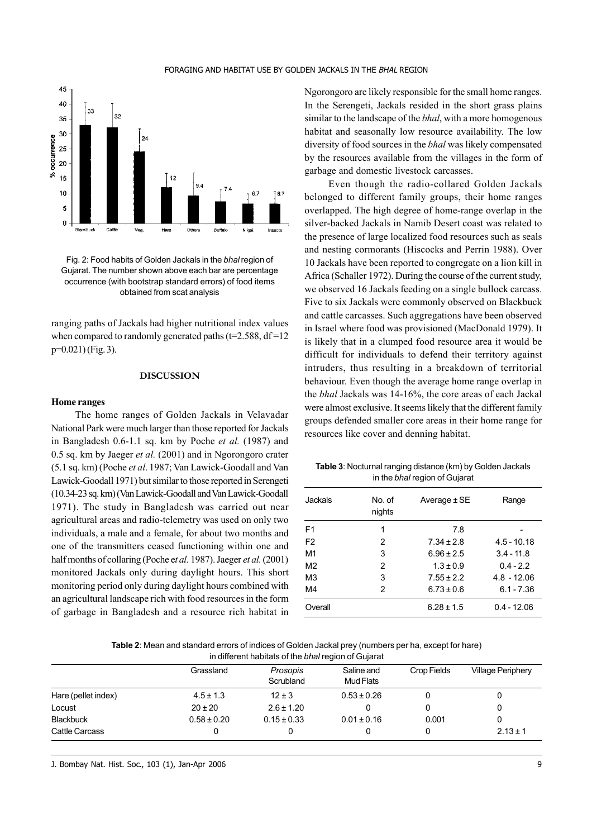

Fig. 2: Food habits of Golden Jackals in the bhal region of Gujarat. The number shown above each bar are percentage occurrence (with bootstrap standard errors) of food items obtained from scat analysis

ranging paths of Jackals had higher nutritional index values when compared to randomly generated paths  $(t=2.588, df=12)$ p=0.021) (Fig. 3).

# DISCUSSION

#### Home ranges

The home ranges of Golden Jackals in Velavadar National Park were much larger than those reported for Jackals in Bangladesh 0.6-1.1 sq. km by Poche et al. (1987) and 0.5 sq. km by Jaeger *et al.* (2001) and in Ngorongoro crater (5.1 sq. km) (Poche et al. 1987; Van Lawick-Goodall and Van Lawick-Goodall 1971) but similar to those reported in Serengeti (10.34-23 sq. km) (Van Lawick-Goodall and Van Lawick-Goodall 1971). The study in Bangladesh was carried out near agricultural areas and radio-telemetry was used on only two individuals, a male and a female, for about two months and one of the transmitters ceased functioning within one and half months of collaring (Poche et al. 1987). Jaeger et al. (2001) monitored Jackals only during daylight hours. This short monitoring period only during daylight hours combined with an agricultural landscape rich with food resources in the form of garbage in Bangladesh and a resource rich habitat in Ngorongoro are likely responsible for the small home ranges. In the Serengeti, Jackals resided in the short grass plains similar to the landscape of the *bhal*, with a more homogenous habitat and seasonally low resource availability. The low diversity of food sources in the bhal was likely compensated by the resources available from the villages in the form of garbage and domestic livestock carcasses.

Even though the radio-collared Golden Jackals belonged to different family groups, their home ranges overlapped. The high degree of home-range overlap in the silver-backed Jackals in Namib Desert coast was related to the presence of large localized food resources such as seals and nesting cormorants (Hiscocks and Perrin 1988). Over 10 Jackals have been reported to congregate on a lion kill in Africa (Schaller 1972). During the course of the current study, we observed 16 Jackals feeding on a single bullock carcass. Five to six Jackals were commonly observed on Blackbuck and cattle carcasses. Such aggregations have been observed in Israel where food was provisioned (MacDonald 1979). It is likely that in a clumped food resource area it would be difficult for individuals to defend their territory against intruders, thus resulting in a breakdown of territorial behaviour. Even though the average home range overlap in the bhal Jackals was 14-16%, the core areas of each Jackal were almost exclusive. It seems likely that the different family groups defended smaller core areas in their home range for resources like cover and denning habitat.

Table 3: Nocturnal ranging distance (km) by Golden Jackals in the bhal region of Gujarat

| Jackals        | No of<br>nights | Average $\pm$ SE | Range         |
|----------------|-----------------|------------------|---------------|
| F <sub>1</sub> | 1               | 7.8              |               |
| F <sub>2</sub> | 2               | $7.34 \pm 2.8$   | $4.5 - 10.18$ |
| M1             | 3               | $6.96 \pm 2.5$   | $3.4 - 11.8$  |
| M <sub>2</sub> | 2               | $1.3 \pm 0.9$    | $0.4 - 2.2$   |
| M <sub>3</sub> | 3               | $7.55 \pm 2.2$   | $4.8 - 12.06$ |
| M4             | 2               | $6.73 \pm 0.6$   | $6.1 - 7.36$  |
| Overall        |                 | $6.28 \pm 1.5$   | $0.4 - 12.06$ |

Table 2: Mean and standard errors of indices of Golden Jackal prey (numbers per ha, except for hare) in different habitats of the bhal region of Gujarat

|                     | Grassland       | Prosopis<br>Scrubland | Saline and<br>Mud Flats | Crop Fields | <b>Village Periphery</b> |
|---------------------|-----------------|-----------------------|-------------------------|-------------|--------------------------|
| Hare (pellet index) | $4.5 \pm 1.3$   | $12 \pm 3$            | $0.53 \pm 0.26$         |             | 0                        |
| Locust              | $20 \pm 20$     | $2.6 \pm 1.20$        |                         |             | 0                        |
| <b>Blackbuck</b>    | $0.58 \pm 0.20$ | $0.15 \pm 0.33$       | $0.01 \pm 0.16$         | 0.001       | 0                        |
| Cattle Carcass      |                 |                       |                         |             | $2.13 \pm 1$             |

J. Bombay Nat. Hist. Soc., 103 (1), Jan-Apr 2006 9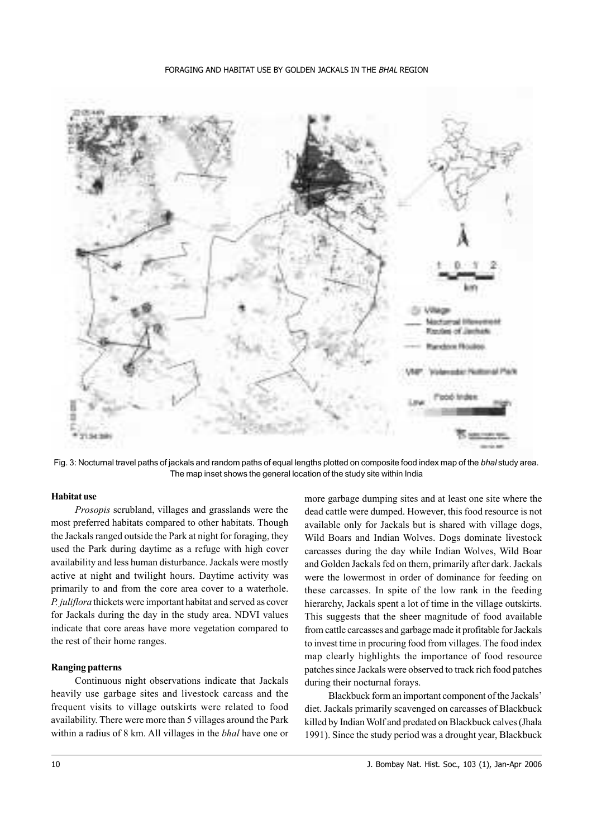

Fig. 3: Nocturnal travel paths of jackals and random paths of equal lengths plotted on composite food index map of the bhal study area. The map inset shows the general location of the study site within India

### Habitat use

Prosopis scrubland, villages and grasslands were the most preferred habitats compared to other habitats. Though the Jackals ranged outside the Park at night for foraging, they used the Park during daytime as a refuge with high cover availability and less human disturbance. Jackals were mostly active at night and twilight hours. Daytime activity was primarily to and from the core area cover to a waterhole. P. juliflora thickets were important habitat and served as cover for Jackals during the day in the study area. NDVI values indicate that core areas have more vegetation compared to the rest of their home ranges.

## Ranging patterns

Continuous night observations indicate that Jackals heavily use garbage sites and livestock carcass and the frequent visits to village outskirts were related to food availability. There were more than 5 villages around the Park within a radius of 8 km. All villages in the *bhal* have one or more garbage dumping sites and at least one site where the dead cattle were dumped. However, this food resource is not available only for Jackals but is shared with village dogs, Wild Boars and Indian Wolves. Dogs dominate livestock carcasses during the day while Indian Wolves, Wild Boar and Golden Jackals fed on them, primarily after dark. Jackals were the lowermost in order of dominance for feeding on these carcasses. In spite of the low rank in the feeding hierarchy, Jackals spent a lot of time in the village outskirts. This suggests that the sheer magnitude of food available from cattle carcasses and garbage made it profitable for Jackals to invest time in procuring food from villages. The food index map clearly highlights the importance of food resource patches since Jackals were observed to track rich food patches during their nocturnal forays.

Blackbuck form an important component of the Jackals' diet. Jackals primarily scavenged on carcasses of Blackbuck killed by Indian Wolf and predated on Blackbuck calves (Jhala 1991). Since the study period was a drought year, Blackbuck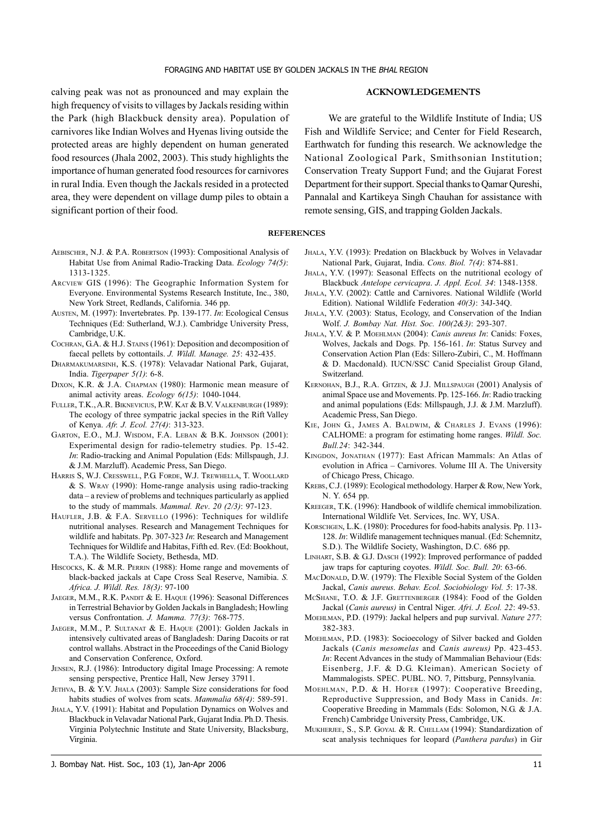calving peak was not as pronounced and may explain the high frequency of visits to villages by Jackals residing within the Park (high Blackbuck density area). Population of carnivores like Indian Wolves and Hyenas living outside the protected areas are highly dependent on human generated food resources (Jhala 2002, 2003). This study highlights the importance of human generated food resources for carnivores in rural India. Even though the Jackals resided in a protected area, they were dependent on village dump piles to obtain a significant portion of their food.

- AEBISCHER, N.J. & P.A. ROBERTSON (1993): Compositional Analysis of Habitat Use from Animal Radio-Tracking Data. Ecology 74(5): 1313-1325.
- ARCVIEW GIS (1996): The Geographic Information System for Everyone. Environmental Systems Research Institute, Inc., 380, New York Street, Redlands, California. 346 pp.
- AUSTEN, M. (1997): Invertebrates. Pp. 139-177. In: Ecological Census Techniques (Ed: Sutherland, W.J.). Cambridge University Press, Cambridge, U.K.
- COCHRAN, G.A. & H.J. STAINS (1961): Deposition and decomposition of faecal pellets by cottontails. J. Wildl. Manage. 25: 432-435.
- DHARMAKUMARSINH, K.S. (1978): Velavadar National Park, Gujarat, India. Tigerpaper 5(1): 6-8.
- DIXON, K.R. & J.A. CHAPMAN (1980): Harmonic mean measure of animal activity areas. Ecology 6(15): 1040-1044.
- FULLER, T.K., A.R. BIKNEVICIUS, P.W. KAT & B.V. VALKENBURGH (1989): The ecology of three sympatric jackal species in the Rift Valley of Kenya. Afr. J. Ecol. 27(4): 313-323.
- GARTON, E.O., M.J. WISDOM, F.A. LEBAN & B.K. JOHNSON (2001): Experimental design for radio-telemetry studies. Pp. 15-42. In: Radio-tracking and Animal Population (Eds: Millspaugh, J.J. & J.M. Marzluff). Academic Press, San Diego.
- HARRIS S, W.J. CRESSWELL, P.G. FORDE, W.J. TREWHELLA, T. WOOLLARD & S. WRAY (1990): Home-range analysis using radio-tracking data – a review of problems and techniques particularly as applied to the study of mammals. Mammal. Rev. 20 (2/3): 97-123.
- HAUFLER, J.B. & F.A. SERVELLO (1996): Techniques for wildlife nutritional analyses. Research and Management Techniques for wildlife and habitats. Pp. 307-323 In: Research and Management Techniques for Wildlife and Habitas, Fifth ed. Rev. (Ed: Bookhout, T.A.). The Wildlife Society, Bethesda, MD.
- HISCOCKS, K. & M.R. PERRIN (1988): Home range and movements of black-backed jackals at Cape Cross Seal Reserve, Namibia. S. Africa. J. Wildl. Res. 18(3): 97-100
- JAEGER, M.M., R.K. PANDIT & E. HAQUE (1996): Seasonal Differences in Terrestrial Behavior by Golden Jackals in Bangladesh; Howling versus Confrontation. J. Mamma. 77(3): 768-775.
- JAEGER, M.M., P. SULTANAT & E. HAQUE (2001): Golden Jackals in intensively cultivated areas of Bangladesh: Daring Dacoits or rat control wallahs. Abstract in the Proceedings of the Canid Biology and Conservation Conference, Oxford.
- JENSEN, R.J. (1986): Introductory digital Image Processing: A remote sensing perspective, Prentice Hall, New Jersey 37911.
- JETHVA, B. & Y.V. JHALA (2003): Sample Size considerations for food habits studies of wolves from scats. Mammalia 68(4): 589-591.
- JHALA, Y.V. (1991): Habitat and Population Dynamics on Wolves and Blackbuck in Velavadar National Park, Gujarat India. Ph.D. Thesis. Virginia Polytechnic Institute and State University, Blacksburg, Virginia.

ACKNOWLEDGEMENTS

We are grateful to the Wildlife Institute of India; US Fish and Wildlife Service; and Center for Field Research, Earthwatch for funding this research. We acknowledge the National Zoological Park, Smithsonian Institution; Conservation Treaty Support Fund; and the Gujarat Forest Department for their support. Special thanks to Qamar Qureshi, Pannalal and Kartikeya Singh Chauhan for assistance with remote sensing, GIS, and trapping Golden Jackals.

### **REFERENCES**

- JHALA, Y.V. (1993): Predation on Blackbuck by Wolves in Velavadar National Park, Gujarat, India. Cons. Biol. 7(4): 874-881.
- JHALA, Y.V. (1997): Seasonal Effects on the nutritional ecology of Blackbuck Antelope cervicapra. J. Appl. Ecol. 34: 1348-1358.
- JHALA, Y.V. (2002): Cattle and Carnivores. National Wildlife (World Edition). National Wildlife Federation 40(3): 34J-34Q.
- JHALA, Y.V. (2003): Status, Ecology, and Conservation of the Indian Wolf. J. Bombay Nat. Hist. Soc. 100(2&3): 293-307.
- JHALA, Y.V. & P. MOEHLMAN (2004): Canis aureus In: Canids: Foxes, Wolves, Jackals and Dogs. Pp. 156-161. In: Status Survey and Conservation Action Plan (Eds: Sillero-Zubiri, C., M. Hoffmann & D. Macdonald). IUCN/SSC Canid Specialist Group Gland, Switzerland.
- KERNOHAN, B.J., R.A. GITZEN, & J.J. MILLSPAUGH (2001) Analysis of animal Space use and Movements. Pp. 125-166. In: Radio tracking and animal populations (Eds: Millspaugh, J.J. & J.M. Marzluff). Academic Press, San Diego.
- KIE, JOHN G., JAMES A. BALDWIM, & CHARLES J. EVANS (1996): CALHOME: a program for estimating home ranges. Wildl. Soc. Bull.24: 342-344.
- KINGDON, JONATHAN (1977): East African Mammals: An Atlas of evolution in Africa – Carnivores. Volume III A. The University of Chicago Press, Chicago.
- KREBS, C.J. (1989): Ecological methodology. Harper & Row, New York, N. Y. 654 pp.
- KREEGER, T.K. (1996): Handbook of wildlife chemical immobilization. International Wildlife Vet. Services, Inc. WY, USA.
- KORSCHGEN, L.K. (1980): Procedures for food-habits analysis. Pp. 113- 128. In: Wildlife management techniques manual. (Ed: Schemnitz, S.D.). The Wildlife Society, Washington, D.C. 686 pp.
- LINHART, S.B. & G.J. DASCH (1992): Improved performance of padded jaw traps for capturing coyotes. Wildl. Soc. Bull. 20: 63-66.
- MACDONALD, D.W. (1979): The Flexible Social System of the Golden Jackal, Canis aureus. Behav. Ecol. Sociobiology Vol. 5: 17-38.
- MCSHANE, T.O. & J.F. GRETTENBERGER (1984): Food of the Golden Jackal (Canis aureus) in Central Niger. Afri. J. Ecol. 22: 49-53.
- MOEHLMAN, P.D. (1979): Jackal helpers and pup survival. Nature 277: 382-383.
- MOEHLMAN, P.D. (1983): Socioecology of Silver backed and Golden Jackals (Canis mesomelas and Canis aureus) Pp. 423-453. In: Recent Advances in the study of Mammalian Behaviour (Eds: Eisenberg, J.F. & D.G. Kleiman). American Society of Mammalogists. SPEC. PUBL. NO. 7, Pittsburg, Pennsylvania.
- MOEHLMAN, P.D. & H. HOFER (1997): Cooperative Breeding, Reproductive Suppression, and Body Mass in Canids. In: Cooperative Breeding in Mammals (Eds: Solomon, N.G. & J.A. French) Cambridge University Press, Cambridge, UK.
- MUKHERJEE, S., S.P. GOYAL & R. CHELLAM (1994): Standardization of scat analysis techniques for leopard (Panthera pardus) in Gir